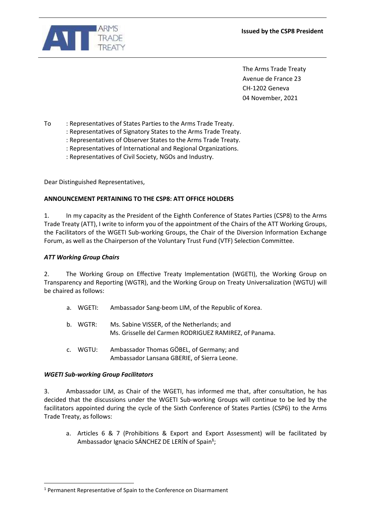

The Arms Trade Treaty Avenue de France 23 CH-1202 Geneva 04 November, 2021

To : Representatives of States Parties to the Arms Trade Treaty.

: Representatives of Signatory States to the Arms Trade Treaty.

: Representatives of Observer States to the Arms Trade Treaty.

: Representatives of International and Regional Organizations.

: Representatives of Civil Society, NGOs and Industry.

Dear Distinguished Representatives,

## **ANNOUNCEMENT PERTAINING TO THE CSP8: ATT OFFICE HOLDERS**

1. In my capacity as the President of the Eighth Conference of States Parties (CSP8) to the Arms Trade Treaty (ATT), I write to inform you of the appointment of the Chairs of the ATT Working Groups, the Facilitators of the WGETI Sub-working Groups, the Chair of the Diversion Information Exchange Forum, as well as the Chairperson of the Voluntary Trust Fund (VTF) Selection Committee.

## *ATT Working Group Chairs*

2. The Working Group on Effective Treaty Implementation (WGETI), the Working Group on Transparency and Reporting (WGTR), and the Working Group on Treaty Universalization (WGTU) will be chaired as follows:

- a. WGETI: Ambassador Sang-beom LIM, of the Republic of Korea.
- b. WGTR: Ms. Sabine VISSER, of the Netherlands; and Ms. Grisselle del Carmen RODRIGUEZ RAMIREZ, of Panama.
- c. WGTU: Ambassador Thomas GÖBEL, of Germany; and Ambassador Lansana GBERIE, of Sierra Leone.

#### *WGETI Sub-working Group Facilitators*

 $\overline{a}$ 

3. Ambassador LIM, as Chair of the WGETI, has informed me that, after consultation, he has decided that the discussions under the WGETI Sub-working Groups will continue to be led by the facilitators appointed during the cycle of the Sixth Conference of States Parties (CSP6) to the Arms Trade Treaty, as follows:

a. Articles 6 & 7 (Prohibitions & Export and Export Assessment) will be facilitated by Ambassador Ignacio SÁNCHEZ DE LERÍN of Spain**<sup>1</sup>** ;

<sup>1</sup> Permanent Representative of Spain to the Conference on Disarmament